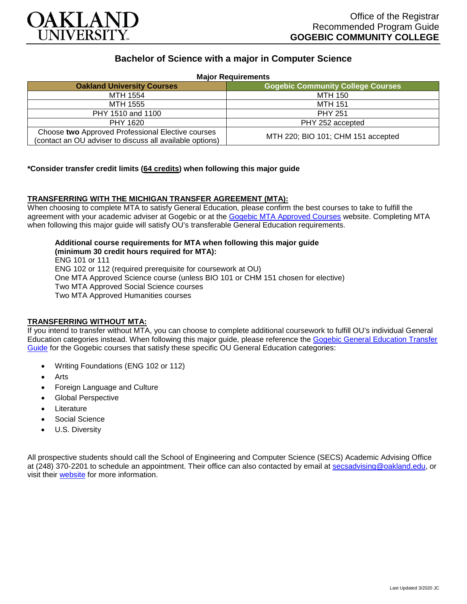

# **Bachelor of Science with a major in Computer Science**

| <b>Major Requirements</b>                                                                                     |                                          |
|---------------------------------------------------------------------------------------------------------------|------------------------------------------|
| <b>Oakland University Courses</b>                                                                             | <b>Gogebic Community College Courses</b> |
| MTH 1554                                                                                                      | MTH 150                                  |
| MTH 1555                                                                                                      | MTH 151                                  |
| PHY 1510 and 1100                                                                                             | <b>PHY 251</b>                           |
| PHY 1620                                                                                                      | PHY 252 accepted                         |
| Choose two Approved Professional Elective courses<br>(contact an OU adviser to discuss all available options) | MTH 220; BIO 101; CHM 151 accepted       |

## **\*Consider transfer credit limits (64 credits) when following this major guide**

## **TRANSFERRING WITH THE MICHIGAN TRANSFER AGREEMENT (MTA):**

When choosing to complete MTA to satisfy General Education, please confirm the best courses to take to fulfill the agreement with your academic adviser at Gogebic or at the [Gogebic MTA Approved Courses](https://www.gogebic.edu/Academics/transferinformation.html) website. Completing MTA when following this major guide will satisfy OU's transferable General Education requirements.

# **Additional course requirements for MTA when following this major guide (minimum 30 credit hours required for MTA):**

ENG 101 or 111 ENG 102 or 112 (required prerequisite for coursework at OU) One MTA Approved Science course (unless BIO 101 or CHM 151 chosen for elective) Two MTA Approved Social Science courses Two MTA Approved Humanities courses

#### **TRANSFERRING WITHOUT MTA:**

If you intend to transfer without MTA, you can choose to complete additional coursework to fulfill OU's individual General Education categories instead. When following this major guide, please reference the Gogebic General Education Transfer [Guide](https://www.oakland.edu/Assets/Oakland/program-guides/gogebic-community-college/university-general-education-requirements/Gogebic%20Gen%20Ed.pdf) for the Gogebic courses that satisfy these specific OU General Education categories:

- Writing Foundations (ENG 102 or 112)
- **Arts**
- Foreign Language and Culture
- Global Perspective
- **Literature**
- Social Science
- U.S. Diversity

All prospective students should call the School of Engineering and Computer Science (SECS) Academic Advising Office at (248) 370-2201 to schedule an appointment. Their office can also contacted by email at [secsadvising@oakland.edu,](mailto:secsadvising@oakland.edu) or visit their [website](https://wwwp.oakland.edu/secs/advising/) for more information.